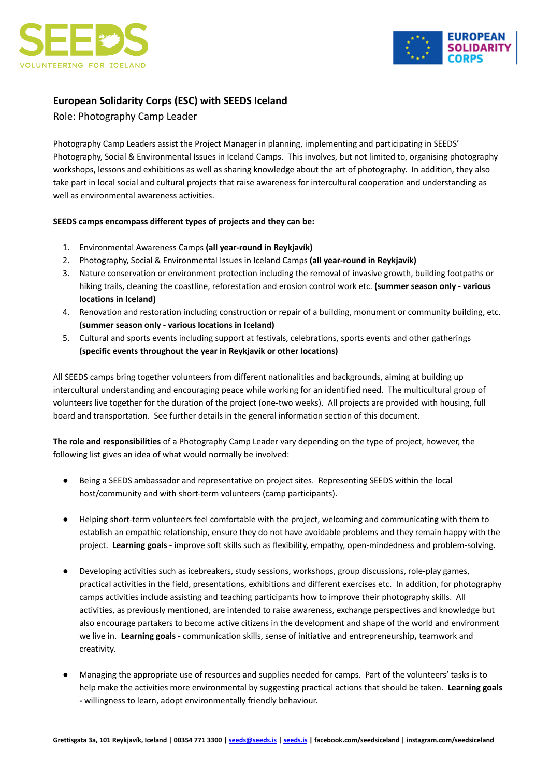



# **European Solidarity Corps (ESC) with SEEDS Iceland**

Role: Photography Camp Leader

Photography Camp Leaders assist the Project Manager in planning, implementing and participating in SEEDS' Photography, Social & Environmental Issues in Iceland Camps. This involves, but not limited to, organising photography workshops, lessons and exhibitions as well as sharing knowledge about the art of photography. In addition, they also take part in local social and cultural projects that raise awareness for intercultural cooperation and understanding as well as environmental awareness activities.

## **SEEDS camps encompass different types of projects and they can be:**

- 1. Environmental Awareness Camps **(all year-round in Reykjavík)**
- 2. Photography, Social & Environmental Issues in Iceland Camps **(all year-round in Reykjavík)**
- 3. Nature conservation or environment protection including the removal of invasive growth, building footpaths or hiking trails, cleaning the coastline, reforestation and erosion control work etc. **(summer season only - various locations in Iceland)**
- 4. Renovation and restoration including construction or repair of a building, monument or community building, etc. **(summer season only - various locations in Iceland)**
- 5. Cultural and sports events including support at festivals, celebrations, sports events and other gatherings **(specific events throughout the year in Reykjavík or other locations)**

All SEEDS camps bring together volunteers from different nationalities and backgrounds, aiming at building up intercultural understanding and encouraging peace while working for an identified need. The multicultural group of volunteers live together for the duration of the project (one-two weeks). All projects are provided with housing, full board and transportation. See further details in the general information section of this document.

**The role and responsibilities** of a Photography Camp Leader vary depending on the type of project, however, the following list gives an idea of what would normally be involved:

- Being a SEEDS ambassador and representative on project sites. Representing SEEDS within the local host/community and with short-term volunteers (camp participants).
- Helping short-term volunteers feel comfortable with the project, welcoming and communicating with them to establish an empathic relationship, ensure they do not have avoidable problems and they remain happy with the project. **Learning goals -** improve soft skills such as flexibility, empathy, open-mindedness and problem-solving.
- Developing activities such as icebreakers, study sessions, workshops, group discussions, role-play games, practical activities in the field, presentations, exhibitions and different exercises etc. In addition, for photography camps activities include assisting and teaching participants how to improve their photography skills. All activities, as previously mentioned, are intended to raise awareness, exchange perspectives and knowledge but also encourage partakers to become active citizens in the development and shape of the world and environment we live in. **Learning goals -** communication skills, sense of initiative and entrepreneurship**,** teamwork and creativity.
- Managing the appropriate use of resources and supplies needed for camps. Part of the volunteers' tasks is to help make the activities more environmental by suggesting practical actions that should be taken. **Learning goals -** willingness to learn, adopt environmentally friendly behaviour.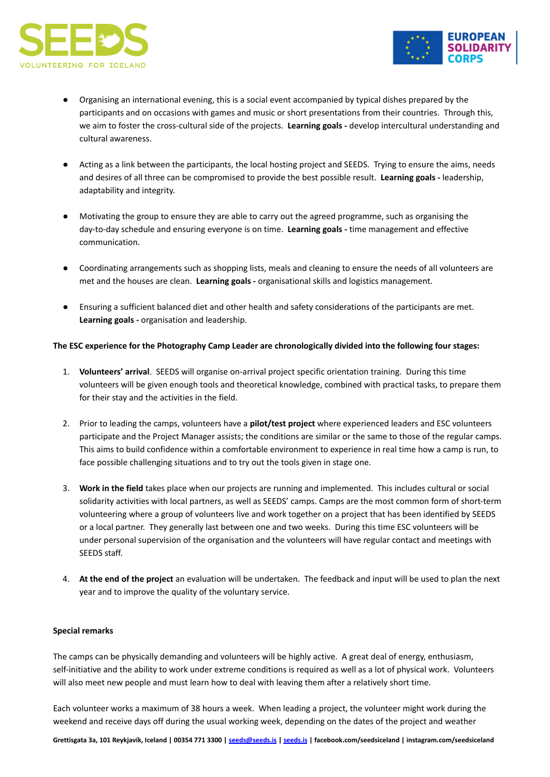



- Organising an international evening, this is a social event accompanied by typical dishes prepared by the participants and on occasions with games and music or short presentations from their countries. Through this, we aim to foster the cross-cultural side of the projects. **Learning goals -** develop intercultural understanding and cultural awareness.
- Acting as a link between the participants, the local hosting project and SEEDS. Trying to ensure the aims, needs and desires of all three can be compromised to provide the best possible result. **Learning goals -** leadership, adaptability and integrity.
- Motivating the group to ensure they are able to carry out the agreed programme, such as organising the day-to-day schedule and ensuring everyone is on time. **Learning goals -** time management and effective communication.
- Coordinating arrangements such as shopping lists, meals and cleaning to ensure the needs of all volunteers are met and the houses are clean. **Learning goals -** organisational skills and logistics management.
- Ensuring a sufficient balanced diet and other health and safety considerations of the participants are met. **Learning goals -** organisation and leadership.

### **The ESC experience for the Photography Camp Leader are chronologically divided into the following four stages:**

- 1. **Volunteers' arrival**. SEEDS will organise on-arrival project specific orientation training. During this time volunteers will be given enough tools and theoretical knowledge, combined with practical tasks, to prepare them for their stay and the activities in the field.
- 2. Prior to leading the camps, volunteers have a **pilot/test project** where experienced leaders and ESC volunteers participate and the Project Manager assists; the conditions are similar or the same to those of the regular camps. This aims to build confidence within a comfortable environment to experience in real time how a camp is run, to face possible challenging situations and to try out the tools given in stage one.
- 3. **Work in the field** takes place when our projects are running and implemented. This includes cultural or social solidarity activities with local partners, as well as SEEDS' camps. Camps are the most common form of short-term volunteering where a group of volunteers live and work together on a project that has been identified by SEEDS or a local partner. They generally last between one and two weeks. During this time ESC volunteers will be under personal supervision of the organisation and the volunteers will have regular contact and meetings with SEEDS staff.
- 4. **At the end of the project** an evaluation will be undertaken. The feedback and input will be used to plan the next year and to improve the quality of the voluntary service.

### **Special remarks**

The camps can be physically demanding and volunteers will be highly active. A great deal of energy, enthusiasm, self-initiative and the ability to work under extreme conditions is required as well as a lot of physical work. Volunteers will also meet new people and must learn how to deal with leaving them after a relatively short time.

Each volunteer works a maximum of 38 hours a week. When leading a project, the volunteer might work during the weekend and receive days off during the usual working week, depending on the dates of the project and weather

Grettisgata 3a, 101 Reykjavík, Iceland | 00354 771 3300 | [seeds@seeds.is](mailto:seeds@seeds.is) | [seeds.is](http://www.seeds.is) | facebook.com/seedsiceland | instagram.com/seedsiceland